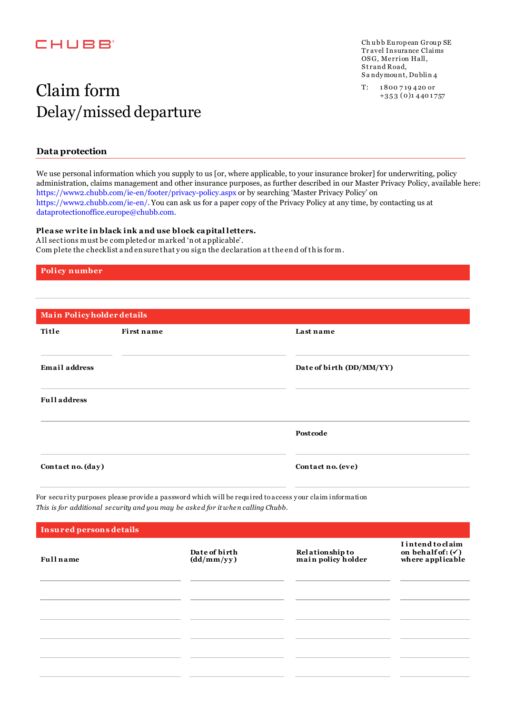# CHUBB<sup>®</sup>

# $\text{Claim form} \qquad \begin{array}{ccc} \text{Tr} & \frac{1800719420 \text{ or}}{7533 \text{ (0)}14401757} \end{array}$ Delay/missed departure

Ch ubb European Group SE Tr avel Insurance Claims OSG, Merrion Hall, Strand Road, S a ndymou nt, Du blin 4

### **Data protection**

We use personal information which you supply to us [or, where applicable, to your insurance broker] for underwriting, policy administration, claims management and other insurance purposes, as further described in our Master Privacy Policy, available here: https://www2.chubb.com/ie-en/footer/privacy-policy.aspx or by searching 'Master Privacy Policy' on https://www2.chubb.com/ie-en/. You can ask us for a paper copy of the Privacy Policy at any time, by contacting us at dataprotectionoffice.europe@chubb.com.

#### **Plea se write in black ink a nd use block ca pital letters.**

A ll sections must be completed or marked 'n ot a pplicable'. Com plete the checklist a nd en sure that y ou sig n the declaration a t the en d of th is for m.

#### **Policy number**

| Main Policyholder details |            |                          |  |  |
|---------------------------|------------|--------------------------|--|--|
| Title                     | First name | Last name                |  |  |
| Email address             |            | Date of birth (DD/MM/YY) |  |  |
| <b>Full address</b>       |            |                          |  |  |
|                           |            | Postcode                 |  |  |
| Contact no. (day)         |            | Contact no. (eve)        |  |  |

For secu rity purposes please provide a password which will be requ ired to access your claim information *This is for additional se curity and you may be aske d for it whe n calling Chubb.*

| Insured persons details |                             |                                       |                                                                       |  |
|-------------------------|-----------------------------|---------------------------------------|-----------------------------------------------------------------------|--|
| <b>Full</b> name        | Date of birth<br>(dd/mm/yy) | Relationship to<br>main policy holder | I intend to claim<br>on behalf of: $(\checkmark)$<br>where applicable |  |
|                         |                             |                                       |                                                                       |  |
|                         |                             |                                       |                                                                       |  |
|                         |                             |                                       |                                                                       |  |
|                         |                             |                                       |                                                                       |  |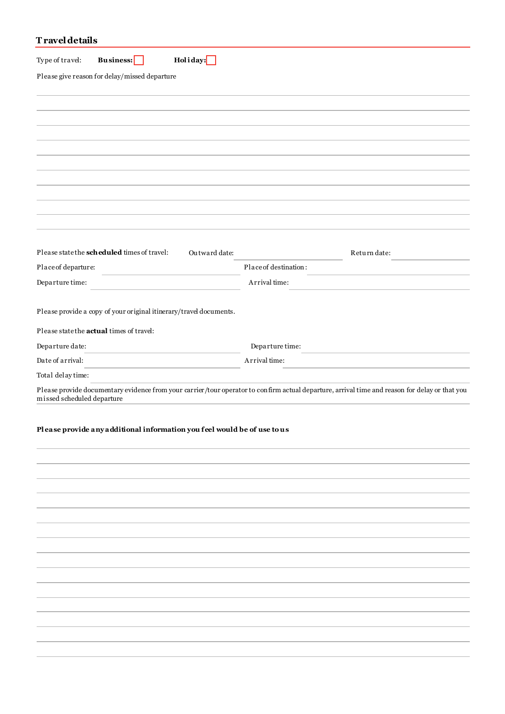## **T ravel details**

| Holiday:<br>Type of travel:<br>Business:                           |                                                                                                                                                |
|--------------------------------------------------------------------|------------------------------------------------------------------------------------------------------------------------------------------------|
| Please give reason for delay/missed departure                      |                                                                                                                                                |
|                                                                    |                                                                                                                                                |
|                                                                    |                                                                                                                                                |
|                                                                    |                                                                                                                                                |
|                                                                    |                                                                                                                                                |
|                                                                    |                                                                                                                                                |
|                                                                    |                                                                                                                                                |
|                                                                    |                                                                                                                                                |
|                                                                    |                                                                                                                                                |
|                                                                    |                                                                                                                                                |
|                                                                    |                                                                                                                                                |
|                                                                    |                                                                                                                                                |
| Please state the scheduled times of travel:<br>Ou tward date:      | Return date:                                                                                                                                   |
| Place of departure:                                                | Place of destination:                                                                                                                          |
| Departure time:                                                    | Arrival time:                                                                                                                                  |
|                                                                    |                                                                                                                                                |
| Please provide a copy of your original itinerary/travel documents. |                                                                                                                                                |
| Please state the <b>actual</b> times of travel:                    |                                                                                                                                                |
| Departure date:                                                    | Departure time:                                                                                                                                |
| Date of arrival:                                                   | Arrival time:                                                                                                                                  |
| Total delay time:                                                  |                                                                                                                                                |
| missed scheduled departure                                         | Please provide documentary evidence from your carrier/tour operator to confirm actual departure, arrival time and reason for delay or that you |

### **Pl ease provide any additional information you feel would be of use to us**

| ,一个人的人都是一个人的人,我们也不会不会不会。""我们,我们也不会不会不会不会。""我们,我们也不会不会不会不会。""我们,我们也不会不会不会不会。""我们,我 |                                              |
|-----------------------------------------------------------------------------------|----------------------------------------------|
|                                                                                   |                                              |
|                                                                                   |                                              |
|                                                                                   |                                              |
|                                                                                   |                                              |
| ,我们也不会有什么?""我们的人,我们也不会不会不会。""我们的人,我们也不会不会不会不会。""我们的人,我们也不会不会不会不会。""我们的人,我们也不会不会不  | the control of the control of the control of |
|                                                                                   |                                              |
|                                                                                   |                                              |
| ,我们也不会不会不会。""我们的,我们也不会不会不会。""我们的,我们也不会不会不会不会。""我们的,我们也不会不会不会不会。""我们的,我们也不会不会不会不会  |                                              |
|                                                                                   |                                              |
|                                                                                   |                                              |
|                                                                                   |                                              |
|                                                                                   |                                              |
|                                                                                   |                                              |
|                                                                                   | the control of the control of the control of |
|                                                                                   |                                              |
|                                                                                   |                                              |
|                                                                                   |                                              |
|                                                                                   |                                              |
|                                                                                   |                                              |
|                                                                                   |                                              |